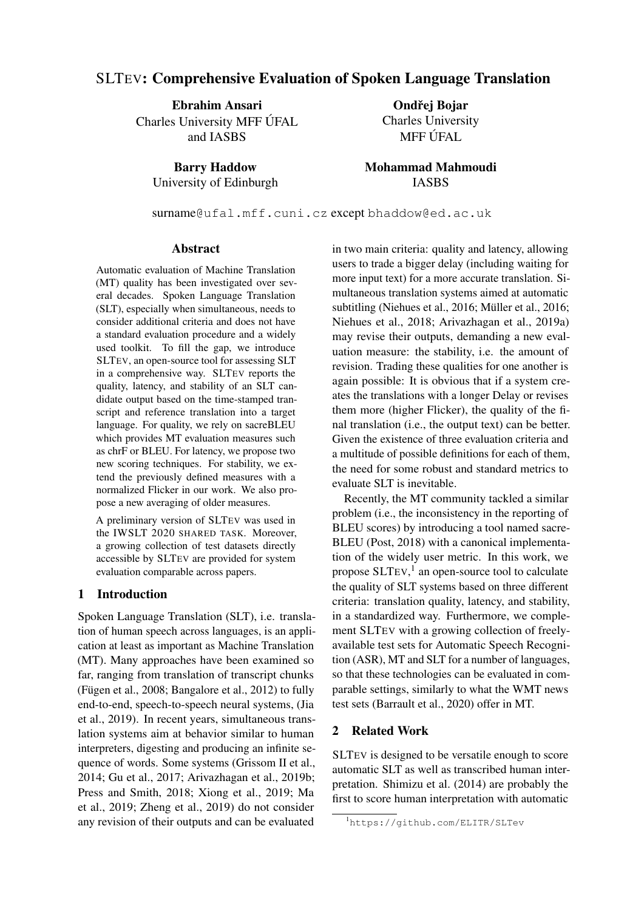# SLTEV: Comprehensive Evaluation of Spoken Language Translation

Ebrahim Ansari Charles University MFF UFAL and IASBS

> Barry Haddow University of Edinburgh

Ondřej Bojar Charles University MFF ÚFAL

Mohammad Mahmoudi IASBS

surname@ufal.mff.cuni.cz except bhaddow@ed.ac.uk

#### Abstract

Automatic evaluation of Machine Translation (MT) quality has been investigated over several decades. Spoken Language Translation (SLT), especially when simultaneous, needs to consider additional criteria and does not have a standard evaluation procedure and a widely used toolkit. To fill the gap, we introduce SLTEV, an open-source tool for assessing SLT in a comprehensive way. SLTEV reports the quality, latency, and stability of an SLT candidate output based on the time-stamped transcript and reference translation into a target language. For quality, we rely on sacreBLEU which provides MT evaluation measures such as chrF or BLEU. For latency, we propose two new scoring techniques. For stability, we extend the previously defined measures with a normalized Flicker in our work. We also propose a new averaging of older measures.

A preliminary version of SLTEV was used in the IWSLT 2020 SHARED TASK. Moreover, a growing collection of test datasets directly accessible by SLTEV are provided for system evaluation comparable across papers.

# 1 Introduction

Spoken Language Translation (SLT), i.e. translation of human speech across languages, is an application at least as important as Machine Translation (MT). Many approaches have been examined so far, ranging from translation of transcript chunks (Fügen et al.,  $2008$ ; Bangalore et al.,  $2012$ ) to fully end-to-end, speech-to-speech neural systems, (Jia et al., 2019). In recent years, simultaneous translation systems aim at behavior similar to human interpreters, digesting and producing an infinite sequence of words. Some systems (Grissom II et al., 2014; Gu et al., 2017; Arivazhagan et al., 2019b; Press and Smith, 2018; Xiong et al., 2019; Ma et al., 2019; Zheng et al., 2019) do not consider any revision of their outputs and can be evaluated

in two main criteria: quality and latency, allowing users to trade a bigger delay (including waiting for more input text) for a more accurate translation. Simultaneous translation systems aimed at automatic subtitling (Niehues et al., 2016; Müller et al., 2016; Niehues et al., 2018; Arivazhagan et al., 2019a) may revise their outputs, demanding a new evaluation measure: the stability, i.e. the amount of revision. Trading these qualities for one another is again possible: It is obvious that if a system creates the translations with a longer Delay or revises them more (higher Flicker), the quality of the final translation (i.e., the output text) can be better. Given the existence of three evaluation criteria and a multitude of possible definitions for each of them, the need for some robust and standard metrics to evaluate SLT is inevitable.

Recently, the MT community tackled a similar problem (i.e., the inconsistency in the reporting of BLEU scores) by introducing a tool named sacre-BLEU (Post, 2018) with a canonical implementation of the widely user metric. In this work, we propose SLTEV, 1 an open-source tool to calculate the quality of SLT systems based on three different criteria: translation quality, latency, and stability, in a standardized way. Furthermore, we complement SLTEV with a growing collection of freelyavailable test sets for Automatic Speech Recognition (ASR), MT and SLT for a number of languages, so that these technologies can be evaluated in comparable settings, similarly to what the WMT news test sets (Barrault et al., 2020) offer in MT.

# 2 Related Work

SLTEV is designed to be versatile enough to score automatic SLT as well as transcribed human interpretation. Shimizu et al. (2014) are probably the first to score human interpretation with automatic

<sup>1</sup>https://github.com/ELITR/SLTev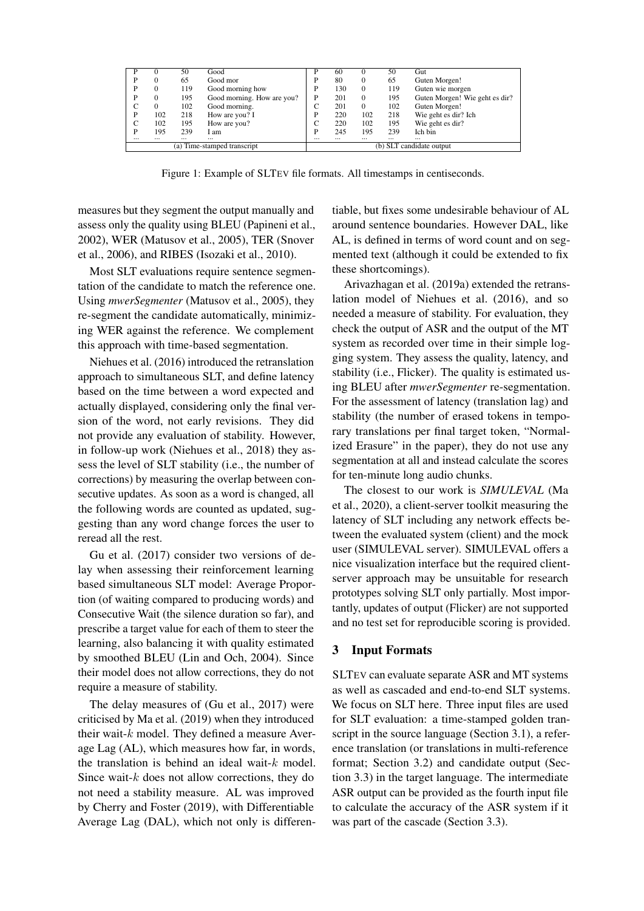| D                           |          | 50       | Good                       | D                        | 60       | $\theta$ | 50       | Gut                            |
|-----------------------------|----------|----------|----------------------------|--------------------------|----------|----------|----------|--------------------------------|
| P                           |          | 65       | Good mor                   | P                        | 80       | $\Omega$ | 65       | Guten Morgen!                  |
| P                           | $\Omega$ | 119      | Good morning how           | P                        | 130      | $\Omega$ | 119      | Guten wie morgen               |
| P                           | 0        | 195      | Good morning. How are you? | P                        | 201      | $\Omega$ | 195      | Guten Morgen! Wie geht es dir? |
|                             | $\Omega$ | 102      | Good morning.              | С                        | 201      | $\Omega$ | 102      | Guten Morgen!                  |
| P                           | 102      | 218      | How are you? I             | P                        | 220      | 102      | 218      | Wie geht es dir? Ich           |
|                             | 102      | 195      | How are you?               | С                        | 220      | 102      | 195      | Wie geht es dir?               |
| P                           | 195      | 239      | I am                       | Þ                        | 245      | 195      | 239      | Ich bin                        |
|                             | $\cdots$ | $\cdots$ | $\cdots$                   | $\cdots$                 | $\cdots$ | $\cdots$ | $\cdots$ | $\cdots$                       |
| (a) Time-stamped transcript |          |          |                            | (b) SLT candidate output |          |          |          |                                |

Figure 1: Example of SLTEV file formats. All timestamps in centiseconds.

measures but they segment the output manually and assess only the quality using BLEU (Papineni et al., 2002), WER (Matusov et al., 2005), TER (Snover et al., 2006), and RIBES (Isozaki et al., 2010).

Most SLT evaluations require sentence segmentation of the candidate to match the reference one. Using *mwerSegmenter* (Matusov et al., 2005), they re-segment the candidate automatically, minimizing WER against the reference. We complement this approach with time-based segmentation.

Niehues et al. (2016) introduced the retranslation approach to simultaneous SLT, and define latency based on the time between a word expected and actually displayed, considering only the final version of the word, not early revisions. They did not provide any evaluation of stability. However, in follow-up work (Niehues et al., 2018) they assess the level of SLT stability (i.e., the number of corrections) by measuring the overlap between consecutive updates. As soon as a word is changed, all the following words are counted as updated, suggesting than any word change forces the user to reread all the rest.

Gu et al. (2017) consider two versions of delay when assessing their reinforcement learning based simultaneous SLT model: Average Proportion (of waiting compared to producing words) and Consecutive Wait (the silence duration so far), and prescribe a target value for each of them to steer the learning, also balancing it with quality estimated by smoothed BLEU (Lin and Och, 2004). Since their model does not allow corrections, they do not require a measure of stability.

The delay measures of (Gu et al., 2017) were criticised by Ma et al. (2019) when they introduced their wait- $k$  model. They defined a measure Average Lag (AL), which measures how far, in words, the translation is behind an ideal wait-k model. Since wait- $k$  does not allow corrections, they do not need a stability measure. AL was improved by Cherry and Foster (2019), with Differentiable Average Lag (DAL), which not only is differentiable, but fixes some undesirable behaviour of AL around sentence boundaries. However DAL, like AL, is defined in terms of word count and on segmented text (although it could be extended to fix these shortcomings).

Arivazhagan et al. (2019a) extended the retranslation model of Niehues et al. (2016), and so needed a measure of stability. For evaluation, they check the output of ASR and the output of the MT system as recorded over time in their simple logging system. They assess the quality, latency, and stability (i.e., Flicker). The quality is estimated using BLEU after *mwerSegmenter* re-segmentation. For the assessment of latency (translation lag) and stability (the number of erased tokens in temporary translations per final target token, "Normalized Erasure" in the paper), they do not use any segmentation at all and instead calculate the scores for ten-minute long audio chunks.

The closest to our work is *SIMULEVAL* (Ma et al., 2020), a client-server toolkit measuring the latency of SLT including any network effects between the evaluated system (client) and the mock user (SIMULEVAL server). SIMULEVAL offers a nice visualization interface but the required clientserver approach may be unsuitable for research prototypes solving SLT only partially. Most importantly, updates of output (Flicker) are not supported and no test set for reproducible scoring is provided.

# 3 Input Formats

SLTEV can evaluate separate ASR and MT systems as well as cascaded and end-to-end SLT systems. We focus on SLT here. Three input files are used for SLT evaluation: a time-stamped golden transcript in the source language (Section 3.1), a reference translation (or translations in multi-reference format; Section 3.2) and candidate output (Section 3.3) in the target language. The intermediate ASR output can be provided as the fourth input file to calculate the accuracy of the ASR system if it was part of the cascade (Section 3.3).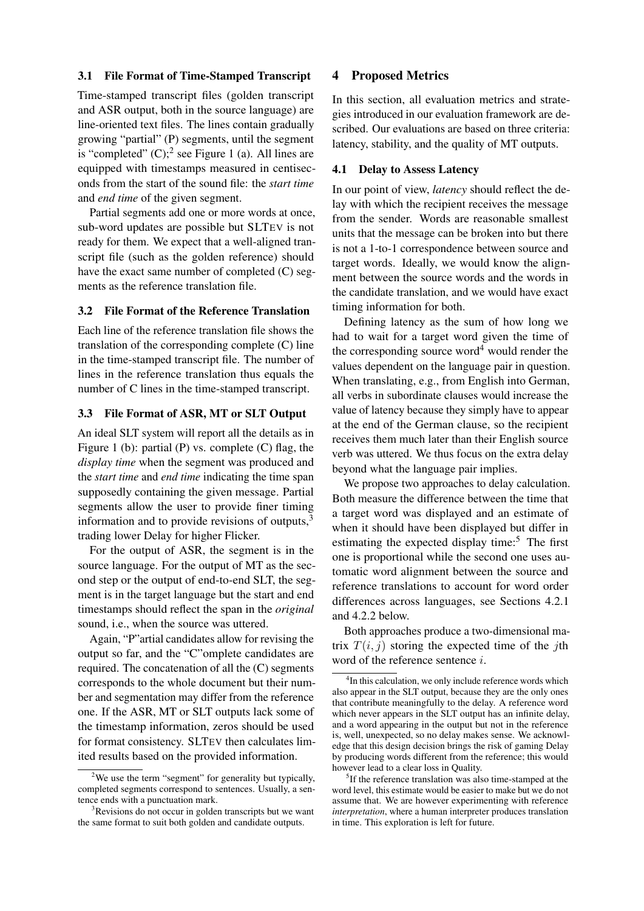## 3.1 File Format of Time-Stamped Transcript

Time-stamped transcript files (golden transcript and ASR output, both in the source language) are line-oriented text files. The lines contain gradually growing "partial" (P) segments, until the segment is "completed"  $(C)$ ; see Figure 1 (a). All lines are equipped with timestamps measured in centiseconds from the start of the sound file: the *start time* and *end time* of the given segment.

Partial segments add one or more words at once, sub-word updates are possible but SLTEV is not ready for them. We expect that a well-aligned transcript file (such as the golden reference) should have the exact same number of completed (C) segments as the reference translation file.

## 3.2 File Format of the Reference Translation

Each line of the reference translation file shows the translation of the corresponding complete (C) line in the time-stamped transcript file. The number of lines in the reference translation thus equals the number of C lines in the time-stamped transcript.

### 3.3 File Format of ASR, MT or SLT Output

An ideal SLT system will report all the details as in Figure 1 (b): partial (P) vs. complete (C) flag, the *display time* when the segment was produced and the *start time* and *end time* indicating the time span supposedly containing the given message. Partial segments allow the user to provide finer timing information and to provide revisions of outputs, $3$ trading lower Delay for higher Flicker.

For the output of ASR, the segment is in the source language. For the output of MT as the second step or the output of end-to-end SLT, the segment is in the target language but the start and end timestamps should reflect the span in the *original* sound, i.e., when the source was uttered.

Again, "P"artial candidates allow for revising the output so far, and the "C"omplete candidates are required. The concatenation of all the (C) segments corresponds to the whole document but their number and segmentation may differ from the reference one. If the ASR, MT or SLT outputs lack some of the timestamp information, zeros should be used for format consistency. SLTEV then calculates limited results based on the provided information.

# 4 Proposed Metrics

In this section, all evaluation metrics and strategies introduced in our evaluation framework are described. Our evaluations are based on three criteria: latency, stability, and the quality of MT outputs.

#### 4.1 Delay to Assess Latency

In our point of view, *latency* should reflect the delay with which the recipient receives the message from the sender. Words are reasonable smallest units that the message can be broken into but there is not a 1-to-1 correspondence between source and target words. Ideally, we would know the alignment between the source words and the words in the candidate translation, and we would have exact timing information for both.

Defining latency as the sum of how long we had to wait for a target word given the time of the corresponding source word<sup>4</sup> would render the values dependent on the language pair in question. When translating, e.g., from English into German, all verbs in subordinate clauses would increase the value of latency because they simply have to appear at the end of the German clause, so the recipient receives them much later than their English source verb was uttered. We thus focus on the extra delay beyond what the language pair implies.

We propose two approaches to delay calculation. Both measure the difference between the time that a target word was displayed and an estimate of when it should have been displayed but differ in estimating the expected display time: $5$  The first one is proportional while the second one uses automatic word alignment between the source and reference translations to account for word order differences across languages, see Sections 4.2.1 and 4.2.2 below.

Both approaches produce a two-dimensional matrix  $T(i, j)$  storing the expected time of the *j*th word of the reference sentence i.

<sup>&</sup>lt;sup>2</sup>We use the term "segment" for generality but typically, completed segments correspond to sentences. Usually, a sentence ends with a punctuation mark.

<sup>&</sup>lt;sup>3</sup>Revisions do not occur in golden transcripts but we want the same format to suit both golden and candidate outputs.

<sup>&</sup>lt;sup>4</sup>In this calculation, we only include reference words which also appear in the SLT output, because they are the only ones that contribute meaningfully to the delay. A reference word which never appears in the SLT output has an infinite delay, and a word appearing in the output but not in the reference is, well, unexpected, so no delay makes sense. We acknowledge that this design decision brings the risk of gaming Delay by producing words different from the reference; this would however lead to a clear loss in Quality.

<sup>&</sup>lt;sup>5</sup>If the reference translation was also time-stamped at the word level, this estimate would be easier to make but we do not assume that. We are however experimenting with reference *interpretation*, where a human interpreter produces translation in time. This exploration is left for future.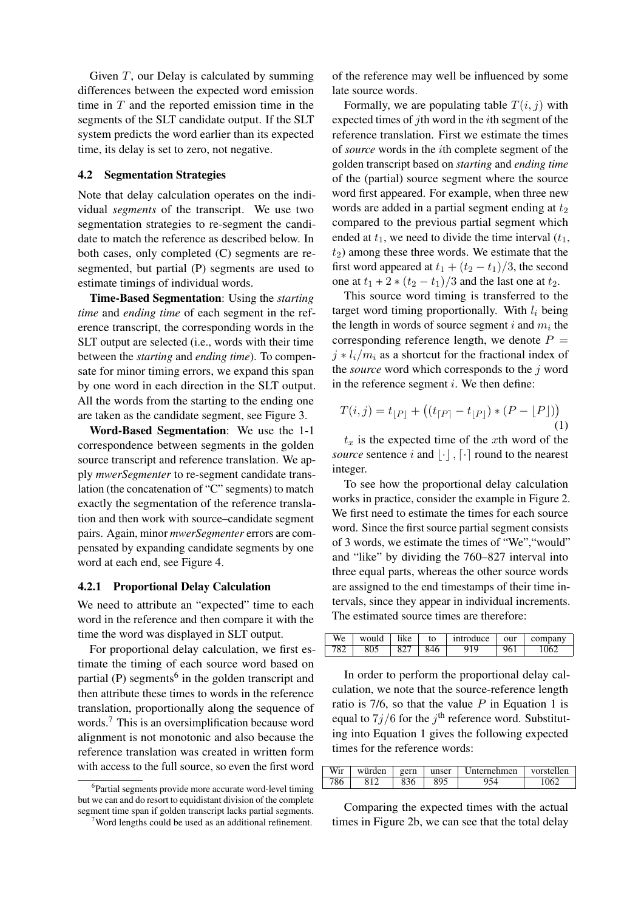Given  $T$ , our Delay is calculated by summing differences between the expected word emission time in  $T$  and the reported emission time in the segments of the SLT candidate output. If the SLT system predicts the word earlier than its expected time, its delay is set to zero, not negative.

#### 4.2 Segmentation Strategies

Note that delay calculation operates on the individual *segments* of the transcript. We use two segmentation strategies to re-segment the candidate to match the reference as described below. In both cases, only completed (C) segments are resegmented, but partial (P) segments are used to estimate timings of individual words.

Time-Based Segmentation: Using the *starting time* and *ending time* of each segment in the reference transcript, the corresponding words in the SLT output are selected (i.e., words with their time between the *starting* and *ending time*). To compensate for minor timing errors, we expand this span by one word in each direction in the SLT output. All the words from the starting to the ending one are taken as the candidate segment, see Figure 3.

Word-Based Segmentation: We use the 1-1 correspondence between segments in the golden source transcript and reference translation. We apply *mwerSegmenter* to re-segment candidate translation (the concatenation of "C" segments) to match exactly the segmentation of the reference translation and then work with source–candidate segment pairs. Again, minor *mwerSegmenter* errors are compensated by expanding candidate segments by one word at each end, see Figure 4.

### 4.2.1 Proportional Delay Calculation

We need to attribute an "expected" time to each word in the reference and then compare it with the time the word was displayed in SLT output.

For proportional delay calculation, we first estimate the timing of each source word based on partial (P) segments<sup>6</sup> in the golden transcript and then attribute these times to words in the reference translation, proportionally along the sequence of words.<sup>7</sup> This is an oversimplification because word alignment is not monotonic and also because the reference translation was created in written form with access to the full source, so even the first word

of the reference may well be influenced by some late source words.

Formally, we are populating table  $T(i, j)$  with expected times of jth word in the *i*th segment of the reference translation. First we estimate the times of *source* words in the ith complete segment of the golden transcript based on *starting* and *ending time* of the (partial) source segment where the source word first appeared. For example, when three new words are added in a partial segment ending at  $t_2$ compared to the previous partial segment which ended at  $t_1$ , we need to divide the time interval  $(t_1, t_2)$  $t_2$ ) among these three words. We estimate that the first word appeared at  $t_1 + (t_2 - t_1)/3$ , the second one at  $t_1 + 2 * (t_2 - t_1)/3$  and the last one at  $t_2$ .

This source word timing is transferred to the target word timing proportionally. With  $l_i$  being the length in words of source segment  $i$  and  $m_i$  the corresponding reference length, we denote  $P =$  $j * l_i/m_i$  as a shortcut for the fractional index of the *source* word which corresponds to the j word in the reference segment  $i$ . We then define:

$$
T(i,j) = t_{[P]} + ((t_{[P]} - t_{[P]}) * (P - [P]))
$$
\n(1)

 $t<sub>x</sub>$  is the expected time of the xth word of the *source* sentence i and  $\lvert \cdot \rvert$ ,  $\lceil \cdot \rceil$  round to the nearest integer.

To see how the proportional delay calculation works in practice, consider the example in Figure 2. We first need to estimate the times for each source word. Since the first source partial segment consists of 3 words, we estimate the times of "We","would" and "like" by dividing the 760–827 interval into three equal parts, whereas the other source words are assigned to the end timestamps of their time intervals, since they appear in individual increments. The estimated source times are therefore:

| We                      | would | 1.1<br>lıke | to  | introduce | our | company |  |
|-------------------------|-------|-------------|-----|-----------|-----|---------|--|
| $70^{\circ}$<br>$\circ$ | 805   |             | 846 |           | 961 | ۱Һ      |  |

In order to perform the proportional delay calculation, we note that the source-reference length ratio is 7/6, so that the value  $P$  in Equation 1 is equal to  $7j/6$  for the  $j<sup>th</sup>$  reference word. Substituting into Equation 1 gives the following expected times for the reference words:

| Wir | würden | gern | unser | Unternehmen | vorstellen |
|-----|--------|------|-------|-------------|------------|
| 786 | 812    | 836  | 895   | 954         | 1052       |

Comparing the expected times with the actual times in Figure 2b, we can see that the total delay

<sup>&</sup>lt;sup>6</sup>Partial segments provide more accurate word-level timing but we can and do resort to equidistant division of the complete segment time span if golden transcript lacks partial segments.

 $7$ Word lengths could be used as an additional refinement.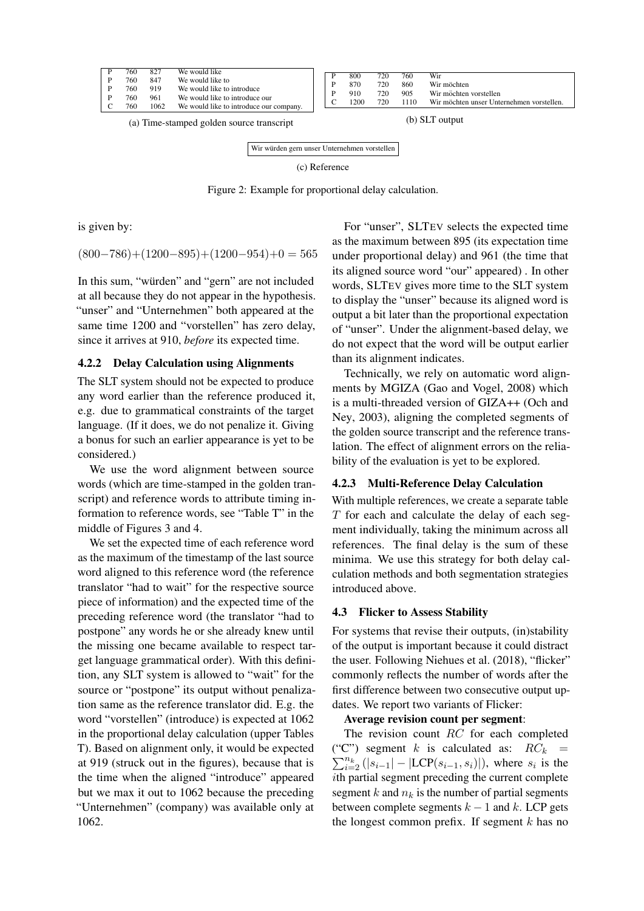|                                           | 760<br>760<br>760.<br>760<br>760 | 827<br>847<br>919<br>961<br>1062 | We would like<br>We would like to<br>We would like to introduce<br>We would like to introduce our<br>We would like to introduce our company. |                | 800<br>870<br>910<br>1200 | 720<br>720<br>720<br>720 | 760<br>860<br>905<br>1110 | Wir<br>Wir möchten<br>Wir möchten vorstellen<br>Wir möchten unser Unternehmen vorstellen. |
|-------------------------------------------|----------------------------------|----------------------------------|----------------------------------------------------------------------------------------------------------------------------------------------|----------------|---------------------------|--------------------------|---------------------------|-------------------------------------------------------------------------------------------|
| (a) Time-stamped golden source transcript |                                  |                                  |                                                                                                                                              | (b) SLT output |                           |                          |                           |                                                                                           |

Wir würden gern unser Unternehmen vorstellen (c) Reference

Figure 2: Example for proportional delay calculation.

is given by:

 $(800-786)+(1200-895)+(1200-954)+0=565$ 

In this sum, "würden" and "gern" are not included at all because they do not appear in the hypothesis. "unser" and "Unternehmen" both appeared at the same time 1200 and "vorstellen" has zero delay, since it arrives at 910, *before* its expected time.

# 4.2.2 Delay Calculation using Alignments

The SLT system should not be expected to produce any word earlier than the reference produced it, e.g. due to grammatical constraints of the target language. (If it does, we do not penalize it. Giving a bonus for such an earlier appearance is yet to be considered.)

We use the word alignment between source words (which are time-stamped in the golden transcript) and reference words to attribute timing information to reference words, see "Table T" in the middle of Figures 3 and 4.

We set the expected time of each reference word as the maximum of the timestamp of the last source word aligned to this reference word (the reference translator "had to wait" for the respective source piece of information) and the expected time of the preceding reference word (the translator "had to postpone" any words he or she already knew until the missing one became available to respect target language grammatical order). With this definition, any SLT system is allowed to "wait" for the source or "postpone" its output without penalization same as the reference translator did. E.g. the word "vorstellen" (introduce) is expected at 1062 in the proportional delay calculation (upper Tables T). Based on alignment only, it would be expected at 919 (struck out in the figures), because that is the time when the aligned "introduce" appeared but we max it out to 1062 because the preceding "Unternehmen" (company) was available only at 1062.

For "unser", SLTEV selects the expected time as the maximum between 895 (its expectation time under proportional delay) and 961 (the time that its aligned source word "our" appeared) . In other words, SLTEV gives more time to the SLT system to display the "unser" because its aligned word is output a bit later than the proportional expectation of "unser". Under the alignment-based delay, we do not expect that the word will be output earlier than its alignment indicates.

Technically, we rely on automatic word alignments by MGIZA (Gao and Vogel, 2008) which is a multi-threaded version of GIZA++ (Och and Ney, 2003), aligning the completed segments of the golden source transcript and the reference translation. The effect of alignment errors on the reliability of the evaluation is yet to be explored.

# 4.2.3 Multi-Reference Delay Calculation

With multiple references, we create a separate table T for each and calculate the delay of each segment individually, taking the minimum across all references. The final delay is the sum of these minima. We use this strategy for both delay calculation methods and both segmentation strategies introduced above.

# 4.3 Flicker to Assess Stability

For systems that revise their outputs, (in)stability of the output is important because it could distract the user. Following Niehues et al. (2018), "flicker" commonly reflects the number of words after the first difference between two consecutive output updates. We report two variants of Flicker:

# Average revision count per segment:

The revision count RC for each completed ("C") segment k is calculated as:  $RC_k$  =  $\sum_{i=2}^{n_k} (|s_{i-1}| - |LCP(s_{i-1}, s_i)|)$ , where  $s_i$  is the ith partial segment preceding the current complete segment k and  $n_k$  is the number of partial segments between complete segments  $k - 1$  and k. LCP gets the longest common prefix. If segment  $k$  has no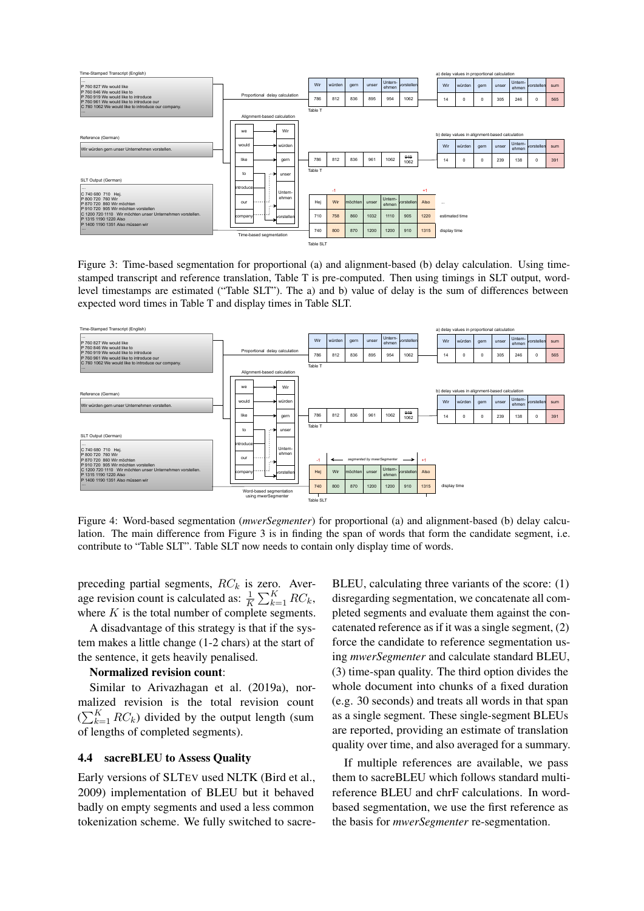

Figure 3: Time-based segmentation for proportional (a) and alignment-based (b) delay calculation. Using timestamped transcript and reference translation, Table T is pre-computed. Then using timings in SLT output, wordlevel timestamps are estimated ("Table SLT"). The a) and b) value of delay is the sum of differences between expected word times in Table T and display times in Table SLT.



Figure 4: Word-based segmentation (*mwerSegmenter*) for proportional (a) and alignment-based (b) delay calculation. The main difference from Figure 3 is in finding the span of words that form the candidate segment, i.e. contribute to "Table SLT". Table SLT now needs to contain only display time of words.

preceding partial segments,  $RC_k$  is zero. Average revision count is calculated as:  $\frac{1}{K} \sum_{k=1}^{K} RC_k$ , where  $K$  is the total number of complete segments.

A disadvantage of this strategy is that if the system makes a little change (1-2 chars) at the start of the sentence, it gets heavily penalised.

#### Normalized revision count:

Similar to Arivazhagan et al. (2019a), normalized revision is the total revision count  $(\sum_{k=1}^{K} RC_k)$  divided by the output length (sum of lengths of completed segments).

## 4.4 sacreBLEU to Assess Quality

Early versions of SLTEV used NLTK (Bird et al., 2009) implementation of BLEU but it behaved badly on empty segments and used a less common tokenization scheme. We fully switched to sacre-

BLEU, calculating three variants of the score: (1) disregarding segmentation, we concatenate all completed segments and evaluate them against the concatenated reference as if it was a single segment, (2) force the candidate to reference segmentation using *mwerSegmenter* and calculate standard BLEU, (3) time-span quality. The third option divides the whole document into chunks of a fixed duration (e.g. 30 seconds) and treats all words in that span as a single segment. These single-segment BLEUs are reported, providing an estimate of translation quality over time, and also averaged for a summary.

If multiple references are available, we pass them to sacreBLEU which follows standard multireference BLEU and chrF calculations. In wordbased segmentation, we use the first reference as the basis for *mwerSegmenter* re-segmentation.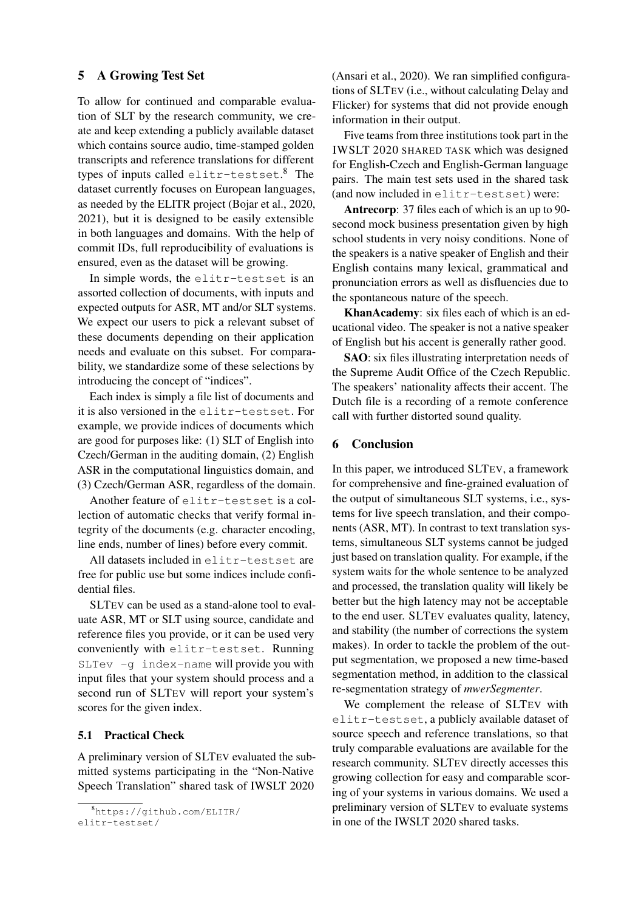# 5 A Growing Test Set

To allow for continued and comparable evaluation of SLT by the research community, we create and keep extending a publicly available dataset which contains source audio, time-stamped golden transcripts and reference translations for different types of inputs called elitr-testset. <sup>8</sup> The dataset currently focuses on European languages, as needed by the ELITR project (Bojar et al., 2020, 2021), but it is designed to be easily extensible in both languages and domains. With the help of commit IDs, full reproducibility of evaluations is ensured, even as the dataset will be growing.

In simple words, the elitr-testset is an assorted collection of documents, with inputs and expected outputs for ASR, MT and/or SLT systems. We expect our users to pick a relevant subset of these documents depending on their application needs and evaluate on this subset. For comparability, we standardize some of these selections by introducing the concept of "indices".

Each index is simply a file list of documents and it is also versioned in the elitr-testset. For example, we provide indices of documents which are good for purposes like: (1) SLT of English into Czech/German in the auditing domain, (2) English ASR in the computational linguistics domain, and (3) Czech/German ASR, regardless of the domain.

Another feature of elitr-testset is a collection of automatic checks that verify formal integrity of the documents (e.g. character encoding, line ends, number of lines) before every commit.

All datasets included in elitr-testset are free for public use but some indices include confidential files.

SLTEV can be used as a stand-alone tool to evaluate ASR, MT or SLT using source, candidate and reference files you provide, or it can be used very conveniently with elitr-testset. Running SLTev -g index-name will provide you with input files that your system should process and a second run of SLTEV will report your system's scores for the given index.

#### 5.1 Practical Check

A preliminary version of SLTEV evaluated the submitted systems participating in the "Non-Native Speech Translation" shared task of IWSLT 2020 (Ansari et al., 2020). We ran simplified configurations of SLTEV (i.e., without calculating Delay and Flicker) for systems that did not provide enough information in their output.

Five teams from three institutions took part in the IWSLT 2020 SHARED TASK which was designed for English-Czech and English-German language pairs. The main test sets used in the shared task (and now included in elitr-testset) were:

Antrecorp: 37 files each of which is an up to 90 second mock business presentation given by high school students in very noisy conditions. None of the speakers is a native speaker of English and their English contains many lexical, grammatical and pronunciation errors as well as disfluencies due to the spontaneous nature of the speech.

KhanAcademy: six files each of which is an educational video. The speaker is not a native speaker of English but his accent is generally rather good.

SAO: six files illustrating interpretation needs of the Supreme Audit Office of the Czech Republic. The speakers' nationality affects their accent. The Dutch file is a recording of a remote conference call with further distorted sound quality.

# 6 Conclusion

In this paper, we introduced SLTEV, a framework for comprehensive and fine-grained evaluation of the output of simultaneous SLT systems, i.e., systems for live speech translation, and their components (ASR, MT). In contrast to text translation systems, simultaneous SLT systems cannot be judged just based on translation quality. For example, if the system waits for the whole sentence to be analyzed and processed, the translation quality will likely be better but the high latency may not be acceptable to the end user. SLTEV evaluates quality, latency, and stability (the number of corrections the system makes). In order to tackle the problem of the output segmentation, we proposed a new time-based segmentation method, in addition to the classical re-segmentation strategy of *mwerSegmenter*.

We complement the release of SLTEV with elitr-testset, a publicly available dataset of source speech and reference translations, so that truly comparable evaluations are available for the research community. SLTEV directly accesses this growing collection for easy and comparable scoring of your systems in various domains. We used a preliminary version of SLTEV to evaluate systems in one of the IWSLT 2020 shared tasks.

<sup>8</sup>https://github.com/ELITR/ elitr-testset/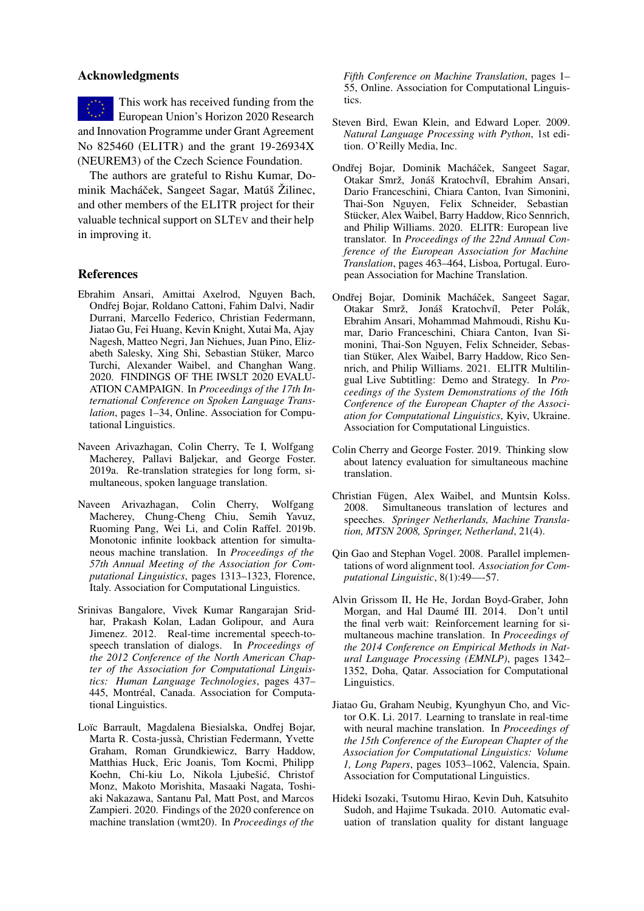## Acknowledgments

This work has received funding from the European Union's Horizon 2020 Research and Innovation Programme under Grant Agreement No 825460 (ELITR) and the grant 19-26934X (NEUREM3) of the Czech Science Foundation.

The authors are grateful to Rishu Kumar, Dominik Macháček, Sangeet Sagar, Matúš Žilinec, and other members of the ELITR project for their valuable technical support on SLTEV and their help in improving it.

# References

- Ebrahim Ansari, Amittai Axelrod, Nguyen Bach, Ondřej Bojar, Roldano Cattoni, Fahim Dalvi, Nadir Durrani, Marcello Federico, Christian Federmann, Jiatao Gu, Fei Huang, Kevin Knight, Xutai Ma, Ajay Nagesh, Matteo Negri, Jan Niehues, Juan Pino, Elizabeth Salesky, Xing Shi, Sebastian Stüker, Marco Turchi, Alexander Waibel, and Changhan Wang. 2020. FINDINGS OF THE IWSLT 2020 EVALU-ATION CAMPAIGN. In *Proceedings of the 17th International Conference on Spoken Language Translation*, pages 1–34, Online. Association for Computational Linguistics.
- Naveen Arivazhagan, Colin Cherry, Te I, Wolfgang Macherey, Pallavi Baljekar, and George Foster. 2019a. Re-translation strategies for long form, simultaneous, spoken language translation.
- Naveen Arivazhagan, Colin Cherry, Wolfgang Macherey, Chung-Cheng Chiu, Semih Yavuz, Ruoming Pang, Wei Li, and Colin Raffel. 2019b. Monotonic infinite lookback attention for simultaneous machine translation. In *Proceedings of the 57th Annual Meeting of the Association for Computational Linguistics*, pages 1313–1323, Florence, Italy. Association for Computational Linguistics.
- Srinivas Bangalore, Vivek Kumar Rangarajan Sridhar, Prakash Kolan, Ladan Golipour, and Aura Jimenez. 2012. Real-time incremental speech-tospeech translation of dialogs. In *Proceedings of the 2012 Conference of the North American Chapter of the Association for Computational Linguistics: Human Language Technologies*, pages 437– 445, Montréal, Canada. Association for Computational Linguistics.
- Loïc Barrault, Magdalena Biesialska, Ondřej Bojar, Marta R. Costa-jussà, Christian Federmann, Yvette Graham, Roman Grundkiewicz, Barry Haddow, Matthias Huck, Eric Joanis, Tom Kocmi, Philipp Koehn, Chi-kiu Lo, Nikola Ljubešić, Christof Monz, Makoto Morishita, Masaaki Nagata, Toshiaki Nakazawa, Santanu Pal, Matt Post, and Marcos Zampieri. 2020. Findings of the 2020 conference on machine translation (wmt20). In *Proceedings of the*

*Fifth Conference on Machine Translation*, pages 1– 55, Online. Association for Computational Linguistics.

- Steven Bird, Ewan Klein, and Edward Loper. 2009. *Natural Language Processing with Python*, 1st edition. O'Reilly Media, Inc.
- Ondřej Bojar, Dominik Macháček, Sangeet Sagar, Otakar Smrž, Jonáš Kratochvíl, Ebrahim Ansari, Dario Franceschini, Chiara Canton, Ivan Simonini, Thai-Son Nguyen, Felix Schneider, Sebastian Stücker, Alex Waibel, Barry Haddow, Rico Sennrich, and Philip Williams. 2020. ELITR: European live translator. In *Proceedings of the 22nd Annual Conference of the European Association for Machine Translation*, pages 463–464, Lisboa, Portugal. European Association for Machine Translation.
- Ondřej Bojar, Dominik Macháček, Sangeet Sagar, Otakar Smrž, Jonáš Kratochvíl, Peter Polák, Ebrahim Ansari, Mohammad Mahmoudi, Rishu Kumar, Dario Franceschini, Chiara Canton, Ivan Simonini, Thai-Son Nguyen, Felix Schneider, Sebastian Stüker, Alex Waibel, Barry Haddow, Rico Sennrich, and Philip Williams. 2021. ELITR Multilingual Live Subtitling: Demo and Strategy. In *Proceedings of the System Demonstrations of the 16th Conference of the European Chapter of the Association for Computational Linguistics*, Kyiv, Ukraine. Association for Computational Linguistics.
- Colin Cherry and George Foster. 2019. Thinking slow about latency evaluation for simultaneous machine translation.
- Christian Fügen, Alex Waibel, and Muntsin Kolss. 2008. Simultaneous translation of lectures and speeches. *Springer Netherlands, Machine Translation, MTSN 2008, Springer, Netherland*, 21(4).
- Qin Gao and Stephan Vogel. 2008. Parallel implementations of word alignment tool. *Association for Computational Linguistic*, 8(1):49—-57.
- Alvin Grissom II, He He, Jordan Boyd-Graber, John Morgan, and Hal Daumé III. 2014. Don't until the final verb wait: Reinforcement learning for simultaneous machine translation. In *Proceedings of the 2014 Conference on Empirical Methods in Natural Language Processing (EMNLP)*, pages 1342– 1352, Doha, Qatar. Association for Computational Linguistics.
- Jiatao Gu, Graham Neubig, Kyunghyun Cho, and Victor O.K. Li. 2017. Learning to translate in real-time with neural machine translation. In *Proceedings of the 15th Conference of the European Chapter of the Association for Computational Linguistics: Volume 1, Long Papers*, pages 1053–1062, Valencia, Spain. Association for Computational Linguistics.
- Hideki Isozaki, Tsutomu Hirao, Kevin Duh, Katsuhito Sudoh, and Hajime Tsukada. 2010. Automatic evaluation of translation quality for distant language